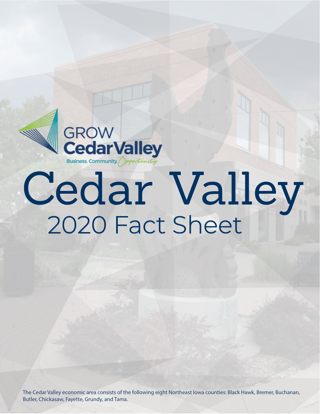

# Cedar Valley

The Cedar Valley economic area consists of the following eight Northeast Iowa counties: Black Hawk, Bremer, Buchanan, Butler, Chickasaw, Fayette, Grundy, and Tama.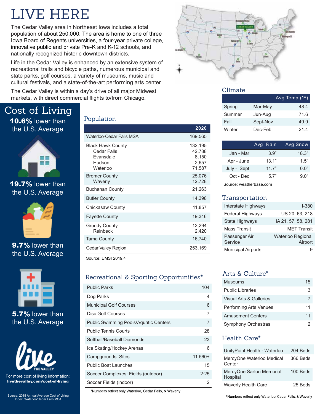## LIVE HERE

The Cedar Valley area in Northeast Iowa includes a total population of about 250,000. The area is home to one of three Iowa Board of Regents universities, a four-year private college, innovative public and private Pre-K and K-12 schools, and nationally recognized historic downtown districts.

Life in the Cedar Valley is enhanced by an extensive system of recreational trails and bicycle paths, numerous municipal and state parks, golf courses, a variety of museums, music and cultural festivals, and a state-of-the-art performing arts center.

The Cedar Valley is within a day's drive of all major Midwest markets, with direct commercial flights to/from Chicago.

#### Cost of Living

10.6% lower than the U.S. Average



#### 19.7% lower than the U.S. Average



9.7% lower than the U.S. Average



5.7% lower than the U.S. Average



For more cost of living information: livethevalley.com/cost-of-living



#### Population

|                                                                            | 2020                                          |
|----------------------------------------------------------------------------|-----------------------------------------------|
| Waterloo-Cedar Falls MSA                                                   | 169,565                                       |
| <b>Black Hawk County</b><br>Cedar Falls<br>Fvansdale<br>Hudson<br>Waterloo | 132,195<br>42,788<br>8,150<br>2,657<br>71,587 |
| <b>Bremer County</b><br>Waverly                                            | 25,076<br>12,728                              |
| <b>Buchanan County</b>                                                     | 21,263                                        |
| <b>Butler County</b>                                                       | 14,398                                        |
| <b>Chickasaw County</b>                                                    | 11,857                                        |
| <b>Fayette County</b>                                                      | 19,346                                        |
| <b>Grundy County</b><br>Reinbeck                                           | 12,294<br>2,420                               |
| <b>Tama County</b>                                                         | 16,740                                        |
| Cedar Valley Region                                                        | 253,169                                       |

Source: EMSI 2019.4

#### Recreational & Sporting Opportunities\*

| <b>Public Parks</b>                          | 104       |
|----------------------------------------------|-----------|
| Dog Parks                                    | 4         |
| <b>Municipal Golf Courses</b>                | 6         |
| Disc Golf Courses                            | 7         |
| <b>Public Swimming Pools/Aquatic Centers</b> | 7         |
| <b>Public Tennis Courts</b>                  | 28        |
| Softball/Baseball Diamonds                   | 23        |
| Ice Skating/Hockey Arenas                    | 6         |
| Campgrounds: Sites                           | $11:560+$ |
| Public Boat Launches                         | 15        |
| Soccer Complexes: Fields (outdoor)           | 2:25      |
| Soccer Fields (indoor)                       | 2         |

\*Numbers reflect only Waterloo, Cedar Falls, & Waverly



#### Climate

|        |          | Avg Temp $(°F)$ |
|--------|----------|-----------------|
| Spring | Mar-May  | 48.4            |
| Summer | Jun-Aug  | 71.6            |
| Fall   | Sept-Nov | 49.9            |
| Winter | Dec-Feb  | 21.4            |

|             | Avg Rain | Avg Snow |
|-------------|----------|----------|
| Jan - Mar   | 3.9"     | 18.3"    |
| Apr - June  | 13.1"    | 1.5"     |
| July - Sept | 11.7"    | 0.0"     |
| Oct - Dec   | 5.7"     | 9.0"     |

Source: weatherbase.com

#### Transportation

| Interstate Highways       | $1 - 380$                    |
|---------------------------|------------------------------|
| <b>Federal Highways</b>   | US 20, 63, 218               |
| State Highways            | IA 21, 57, 58, 281           |
| Mass Transit              | <b>MET Transit</b>           |
| Passenger Air<br>Service  | Waterloo Regional<br>Airport |
| <b>Municipal Airports</b> |                              |

#### Arts & Culture\*

| Museums                    | 15 |
|----------------------------|----|
| Public Libraries           | З  |
| Visual Arts & Galleries    | 7  |
| Performing Arts Venues     | 11 |
| <b>Amusement Centers</b>   | 11 |
| <b>Symphony Orchestras</b> |    |

#### Health Care\*

| UnityPoint Health - Waterloo          | 204 Beds   |
|---------------------------------------|------------|
| MercyOne Waterloo Medical<br>Center   | 366 Beds   |
| MercyOne Sartori Memorial<br>Hospital | $100$ Beds |
| Waverly Health Care                   | 25 Beds    |

\*Numbers reflect only Waterloo, Cedar Falls, & Waverly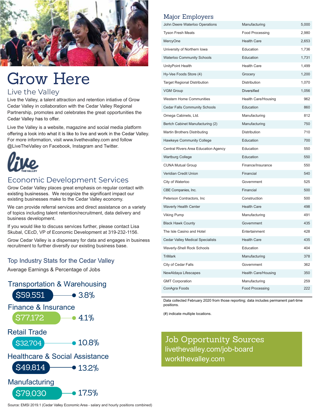

## Grow Here

#### Live the Valley

Live the Valley, a talent attraction and retention intiative of Grow Cedar Valley in collaboration with the Cedar Valley Regional Partnership, promotes and celebrates the great opportunities the Cedar Valley has to offer.

Live the Valley is a website, magazine and social media platform offering a look into what it is like to live and work in the Cedar Valley. For more information, visit www.livethevalley.com and follow @LiveTheValley on Facebook, Instagram and Twitter.



#### Economic Development Services

Grow Cedar Valley places great emphasis on regular contact with existing businesses. We recognize the significant impact our existing businesses make to the Cedar Valley economy.

We can provide referral services and direct assistance on a variety of topics including talent retention/recruitment, data delivery and business development.

If you would like to discuss services further, please contact Lisa Skubal, CEcD, VP of Economic Development at 319-232-1156.

Grow Cedar Valley is a dispensary for data and engages in business recruitment to further diversify our existing business base.

#### Top Industry Stats for the Cedar Valley

Average Earnings & Percentage of Jobs



#### Major Employers

| John Deere Waterloo Operations          | Manufacturing              | 5,000 |
|-----------------------------------------|----------------------------|-------|
| <b>Tyson Fresh Meats</b>                | <b>Food Processing</b>     | 2,980 |
| MercyOne                                | <b>Health Care</b>         | 2,653 |
| University of Northern Iowa             | Education                  | 1,736 |
| <b>Waterloo Community Schools</b>       | Education                  | 1,731 |
| UnityPoint Health                       | <b>Health Care</b>         | 1,499 |
| Hy-Vee Foods Store (4)                  | Grocery                    | 1,200 |
| <b>Target Regional Distribution</b>     | <b>Distribution</b>        | 1,070 |
| <b>VGM Group</b>                        | <b>Diversified</b>         | 1,056 |
| <b>Western Home Communities</b>         | Health Care/Housing        | 962   |
| <b>Cedar Falls Community Schools</b>    | Education                  | 860   |
| Omega Cabinets, Ltd.                    | Manufacturing              | 812   |
| Bertch Cabinet Manufacturing (2)        | Manufacturing              | 750   |
| Martin Brothers Distributing            | <b>Distribution</b>        | 710   |
| Hawkeye Community College               | Education                  | 700   |
| Central Rivers Area Education Agency    | Education                  | 550   |
| <b>Wartburg College</b>                 | Education                  | 550   |
| <b>CUNA Mutual Group</b>                | Finance/Insurance          | 550   |
| Veridian Credit Union                   | Financial                  | 540   |
| City of Waterloo                        | Government                 | 525   |
| CBE Companies, Inc.                     | Financial                  | 500   |
| Peterson Contractors, Inc.              | Construction               | 500   |
| Waverly Health Center                   | <b>Health Care</b>         | 498   |
| <b>Viking Pump</b>                      | Manufacturing              | 491   |
| <b>Black Hawk County</b>                | Government                 | 435   |
| The Isle Casino and Hotel               | Entertainment              | 428   |
| <b>Cedar Valley Medical Specialists</b> | <b>Health Care</b>         | 435   |
| Waverly-Shell Rock Schools              | Education                  | 404   |
| <b>TriMark</b>                          | Manufacturing              | 378   |
| City of Cedar Falls                     | Government                 | 362   |
| NewAldaya Lifescapes                    | <b>Health Care/Housing</b> | 350   |
| <b>GMT Corporation</b>                  | Manufacturing              | 259   |
| ConAgra Foods                           | <b>Food Processing</b>     | 222   |

Data collected February 2020 from those reporting; data includes permanent part-time positions.

(#) indicate multiple locations.

Job Opportunity Sources livethevalley.com/job-board workthevalley.com

Source: EMSI 2019.1 (Cedar Valley Economic Area - salary and hourly positions combined)